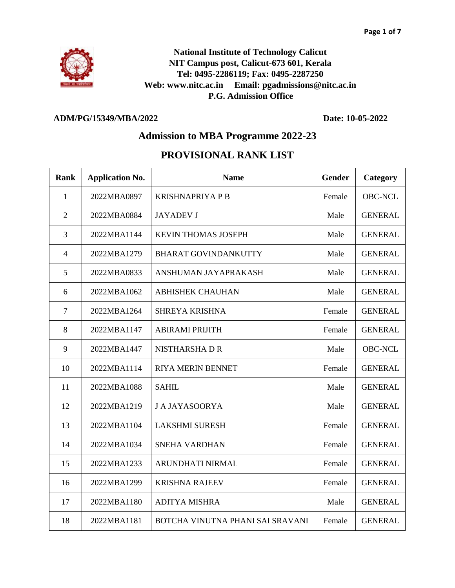

**National Institute of Technology Calicut NIT Campus post, Calicut-673 601, Kerala Tel: 0495-2286119; Fax: 0495-2287250 Web: www.nitc.ac.in Email: pgadmissions@nitc.ac.in P.G. Admission Office**

## **ADM/PG/15349/MBA/2022 Date: 10-05-2022**

## **Admission to MBA Programme 2022-23**

## **PROVISIONAL RANK LIST**

| Rank           | <b>Application No.</b> | <b>Name</b>                      | Gender | Category       |
|----------------|------------------------|----------------------------------|--------|----------------|
| 1              | 2022MBA0897            | <b>KRISHNAPRIYA P B</b>          | Female | <b>OBC-NCL</b> |
| $\overline{2}$ | 2022MBA0884            | <b>JAYADEV J</b>                 | Male   | <b>GENERAL</b> |
| 3              | 2022MBA1144            | KEVIN THOMAS JOSEPH              | Male   | <b>GENERAL</b> |
| $\overline{4}$ | 2022MBA1279            | <b>BHARAT GOVINDANKUTTY</b>      | Male   | <b>GENERAL</b> |
| 5              | 2022MBA0833            | ANSHUMAN JAYAPRAKASH             | Male   | <b>GENERAL</b> |
| 6              | 2022MBA1062            | <b>ABHISHEK CHAUHAN</b>          | Male   | <b>GENERAL</b> |
| 7              | 2022MBA1264            | <b>SHREYA KRISHNA</b>            | Female | <b>GENERAL</b> |
| 8              | 2022MBA1147            | <b>ABIRAMI PRIJITH</b>           | Female | <b>GENERAL</b> |
| 9              | 2022MBA1447            | <b>NISTHARSHADR</b>              | Male   | <b>OBC-NCL</b> |
| 10             | 2022MBA1114            | <b>RIYA MERIN BENNET</b>         | Female | <b>GENERAL</b> |
| 11             | 2022MBA1088            | <b>SAHIL</b>                     | Male   | <b>GENERAL</b> |
| 12             | 2022MBA1219            | <b>J A JAYASOORYA</b>            | Male   | <b>GENERAL</b> |
| 13             | 2022MBA1104            | <b>LAKSHMI SURESH</b>            | Female | <b>GENERAL</b> |
| 14             | 2022MBA1034            | <b>SNEHA VARDHAN</b>             | Female | <b>GENERAL</b> |
| 15             | 2022MBA1233            | ARUNDHATI NIRMAL                 | Female | <b>GENERAL</b> |
| 16             | 2022MBA1299            | <b>KRISHNA RAJEEV</b>            | Female | <b>GENERAL</b> |
| 17             | 2022MBA1180            | <b>ADITYA MISHRA</b>             | Male   | <b>GENERAL</b> |
| 18             | 2022MBA1181            | BOTCHA VINUTNA PHANI SAI SRAVANI | Female | <b>GENERAL</b> |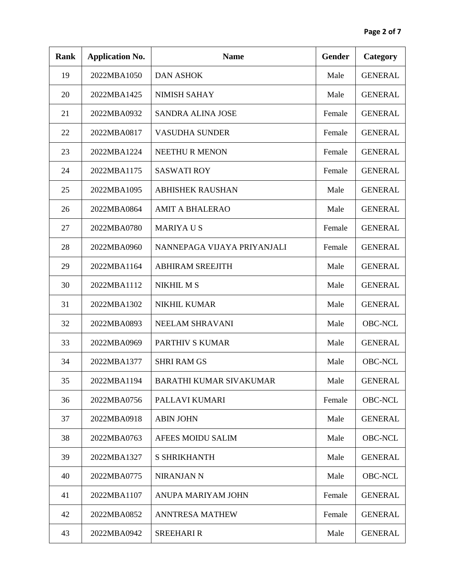| <b>Rank</b> | <b>Application No.</b> | <b>Name</b>                    | <b>Gender</b> | Category       |
|-------------|------------------------|--------------------------------|---------------|----------------|
| 19          | 2022MBA1050            | <b>DAN ASHOK</b>               | Male          | <b>GENERAL</b> |
| 20          | 2022MBA1425            | <b>NIMISH SAHAY</b>            | Male          | <b>GENERAL</b> |
| 21          | 2022MBA0932            | <b>SANDRA ALINA JOSE</b>       | Female        | <b>GENERAL</b> |
| 22          | 2022MBA0817            | <b>VASUDHA SUNDER</b>          | Female        | <b>GENERAL</b> |
| 23          | 2022MBA1224            | <b>NEETHUR MENON</b>           | Female        | <b>GENERAL</b> |
| 24          | 2022MBA1175            | <b>SASWATI ROY</b>             | Female        | <b>GENERAL</b> |
| 25          | 2022MBA1095            | <b>ABHISHEK RAUSHAN</b>        | Male          | <b>GENERAL</b> |
| 26          | 2022MBA0864            | <b>AMIT A BHALERAO</b>         | Male          | <b>GENERAL</b> |
| 27          | 2022MBA0780            | <b>MARIYAUS</b>                | Female        | <b>GENERAL</b> |
| 28          | 2022MBA0960            | NANNEPAGA VIJAYA PRIYANJALI    | Female        | <b>GENERAL</b> |
| 29          | 2022MBA1164            | <b>ABHIRAM SREEJITH</b>        | Male          | <b>GENERAL</b> |
| 30          | 2022MBA1112            | <b>NIKHIL MS</b>               | Male          | <b>GENERAL</b> |
| 31          | 2022MBA1302            | <b>NIKHIL KUMAR</b>            | Male          | <b>GENERAL</b> |
| 32          | 2022MBA0893            | NEELAM SHRAVANI                | Male          | <b>OBC-NCL</b> |
| 33          | 2022MBA0969            | <b>PARTHIV S KUMAR</b>         | Male          | <b>GENERAL</b> |
| 34          | 2022MBA1377            | <b>SHRI RAM GS</b>             | Male          | <b>OBC-NCL</b> |
| 35          | 2022MBA1194            | <b>BARATHI KUMAR SIVAKUMAR</b> | Male          | <b>GENERAL</b> |
| 36          | 2022MBA0756            | PALLAVI KUMARI                 | Female        | <b>OBC-NCL</b> |
| 37          | 2022MBA0918            | <b>ABIN JOHN</b>               | Male          | <b>GENERAL</b> |
| 38          | 2022MBA0763            | AFEES MOIDU SALIM              | Male          | <b>OBC-NCL</b> |
| 39          | 2022MBA1327            | <b>S SHRIKHANTH</b>            | Male          | <b>GENERAL</b> |
| 40          | 2022MBA0775            | <b>NIRANJAN N</b>              | Male          | <b>OBC-NCL</b> |
| 41          | 2022MBA1107            | ANUPA MARIYAM JOHN             | Female        | <b>GENERAL</b> |
| 42          | 2022MBA0852            | <b>ANNTRESA MATHEW</b>         | Female        | <b>GENERAL</b> |
| 43          | 2022MBA0942            | <b>SREEHARI R</b>              | Male          | <b>GENERAL</b> |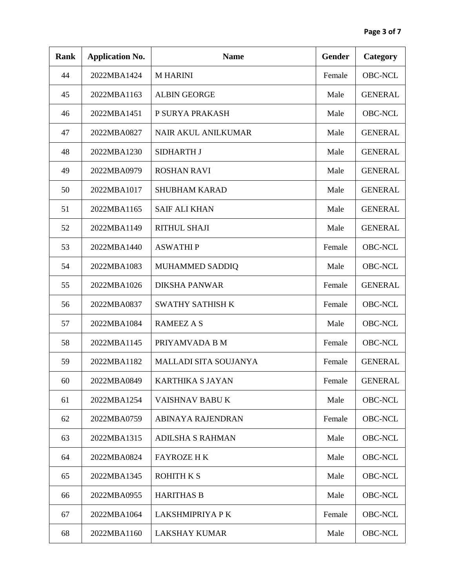| <b>Rank</b> | <b>Application No.</b> | <b>Name</b>                  | <b>Gender</b> | Category       |
|-------------|------------------------|------------------------------|---------------|----------------|
| 44          | 2022MBA1424            | <b>M HARINI</b>              | Female        | <b>OBC-NCL</b> |
| 45          | 2022MBA1163            | <b>ALBIN GEORGE</b>          | Male          | <b>GENERAL</b> |
| 46          | 2022MBA1451            | P SURYA PRAKASH              | Male          | <b>OBC-NCL</b> |
| 47          | 2022MBA0827            | <b>NAIR AKUL ANILKUMAR</b>   | Male          | <b>GENERAL</b> |
| 48          | 2022MBA1230            | <b>SIDHARTH J</b>            | Male          | <b>GENERAL</b> |
| 49          | 2022MBA0979            | <b>ROSHAN RAVI</b>           | Male          | <b>GENERAL</b> |
| 50          | 2022MBA1017            | <b>SHUBHAM KARAD</b>         | Male          | <b>GENERAL</b> |
| 51          | 2022MBA1165            | <b>SAIF ALI KHAN</b>         | Male          | <b>GENERAL</b> |
| 52          | 2022MBA1149            | <b>RITHUL SHAJI</b>          | Male          | <b>GENERAL</b> |
| 53          | 2022MBA1440            | <b>ASWATHIP</b>              | Female        | <b>OBC-NCL</b> |
| 54          | 2022MBA1083            | MUHAMMED SADDIQ              | Male          | <b>OBC-NCL</b> |
| 55          | 2022MBA1026            | <b>DIKSHA PANWAR</b>         | Female        | <b>GENERAL</b> |
| 56          | 2022MBA0837            | <b>SWATHY SATHISH K</b>      | Female        | <b>OBC-NCL</b> |
| 57          | 2022MBA1084            | <b>RAMEEZ A S</b>            | Male          | <b>OBC-NCL</b> |
| 58          | 2022MBA1145            | PRIYAMVADA B M               | Female        | <b>OBC-NCL</b> |
| 59          | 2022MBA1182            | <b>MALLADI SITA SOUJANYA</b> | Female        | <b>GENERAL</b> |
| 60          | 2022MBA0849            | KARTHIKA S JAYAN             | Female        | <b>GENERAL</b> |
| 61          | 2022MBA1254            | VAISHNAV BABU K              | Male          | <b>OBC-NCL</b> |
| 62          | 2022MBA0759            | ABINAYA RAJENDRAN            | Female        | <b>OBC-NCL</b> |
| 63          | 2022MBA1315            | <b>ADILSHA S RAHMAN</b>      | Male          | <b>OBC-NCL</b> |
| 64          | 2022MBA0824            | <b>FAYROZE HK</b>            | Male          | <b>OBC-NCL</b> |
| 65          | 2022MBA1345            | <b>ROHITH K S</b>            | Male          | <b>OBC-NCL</b> |
| 66          | 2022MBA0955            | <b>HARITHAS B</b>            | Male          | <b>OBC-NCL</b> |
| 67          | 2022MBA1064            | LAKSHMIPRIYA P K             | Female        | <b>OBC-NCL</b> |
| 68          | 2022MBA1160            | <b>LAKSHAY KUMAR</b>         | Male          | <b>OBC-NCL</b> |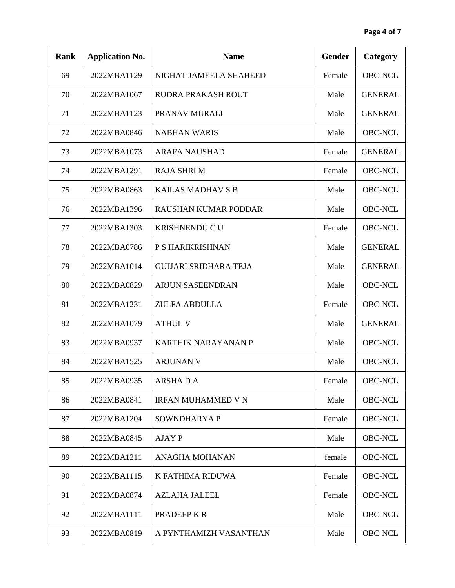| <b>Rank</b> | <b>Application No.</b> | <b>Name</b>                 | <b>Gender</b> | Category       |
|-------------|------------------------|-----------------------------|---------------|----------------|
| 69          | 2022MBA1129            | NIGHAT JAMEELA SHAHEED      | Female        | <b>OBC-NCL</b> |
| 70          | 2022MBA1067            | RUDRA PRAKASH ROUT          | Male          | <b>GENERAL</b> |
| 71          | 2022MBA1123            | PRANAV MURALI               | Male          | <b>GENERAL</b> |
| 72          | 2022MBA0846            | <b>NABHAN WARIS</b>         | Male          | <b>OBC-NCL</b> |
| 73          | 2022MBA1073            | <b>ARAFA NAUSHAD</b>        | Female        | <b>GENERAL</b> |
| 74          | 2022MBA1291            | <b>RAJA SHRIM</b>           | Female        | <b>OBC-NCL</b> |
| 75          | 2022MBA0863            | <b>KAILAS MADHAV S B</b>    | Male          | <b>OBC-NCL</b> |
| 76          | 2022MBA1396            | <b>RAUSHAN KUMAR PODDAR</b> | Male          | <b>OBC-NCL</b> |
| 77          | 2022MBA1303            | KRISHNENDU C U              | Female        | <b>OBC-NCL</b> |
| 78          | 2022MBA0786            | P S HARIKRISHNAN            | Male          | <b>GENERAL</b> |
| 79          | 2022MBA1014            | GUJJARI SRIDHARA TEJA       | Male          | <b>GENERAL</b> |
| 80          | 2022MBA0829            | ARJUN SASEENDRAN            | Male          | <b>OBC-NCL</b> |
| 81          | 2022MBA1231            | <b>ZULFA ABDULLA</b>        | Female        | <b>OBC-NCL</b> |
| 82          | 2022MBA1079            | <b>ATHUL V</b>              | Male          | <b>GENERAL</b> |
| 83          | 2022MBA0937            | <b>KARTHIK NARAYANAN P</b>  | Male          | <b>OBC-NCL</b> |
| 84          | 2022MBA1525            | <b>ARJUNAN V</b>            | Male          | <b>OBC-NCL</b> |
| 85          | 2022MBA0935            | ARSHADA                     | Female        | <b>OBC-NCL</b> |
| 86          | 2022MBA0841            | <b>IRFAN MUHAMMED V N</b>   | Male          | <b>OBC-NCL</b> |
| 87          | 2022MBA1204            | SOWNDHARYA P                | Female        | <b>OBC-NCL</b> |
| 88          | 2022MBA0845            | <b>AJAY P</b>               | Male          | <b>OBC-NCL</b> |
| 89          | 2022MBA1211            | <b>ANAGHA MOHANAN</b>       | female        | <b>OBC-NCL</b> |
| 90          | 2022MBA1115            | K FATHIMA RIDUWA            | Female        | <b>OBC-NCL</b> |
| 91          | 2022MBA0874            | <b>AZLAHA JALEEL</b>        | Female        | <b>OBC-NCL</b> |
| 92          | 2022MBA1111            | PRADEEP K R                 | Male          | <b>OBC-NCL</b> |
| 93          | 2022MBA0819            | A PYNTHAMIZH VASANTHAN      | Male          | <b>OBC-NCL</b> |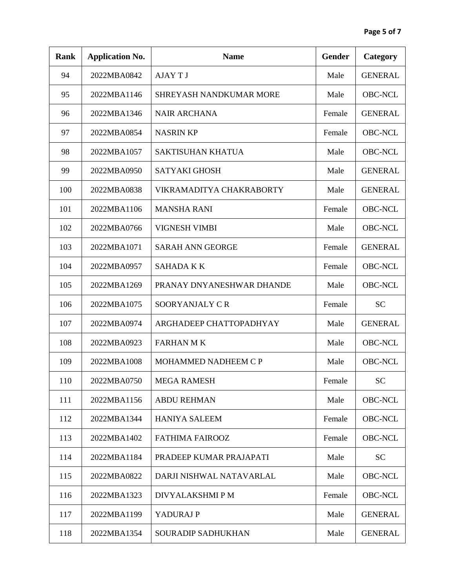| <b>Rank</b> | <b>Application No.</b> | <b>Name</b>                 | <b>Gender</b> | Category       |
|-------------|------------------------|-----------------------------|---------------|----------------|
| 94          | 2022MBA0842            | <b>AJAYTJ</b>               | Male          | <b>GENERAL</b> |
| 95          | 2022MBA1146            | SHREYASH NANDKUMAR MORE     | Male          | <b>OBC-NCL</b> |
| 96          | 2022MBA1346            | <b>NAIR ARCHANA</b>         | Female        | <b>GENERAL</b> |
| 97          | 2022MBA0854            | <b>NASRIN KP</b>            | Female        | <b>OBC-NCL</b> |
| 98          | 2022MBA1057            | SAKTISUHAN KHATUA           | Male          | <b>OBC-NCL</b> |
| 99          | 2022MBA0950            | <b>SATYAKI GHOSH</b>        | Male          | <b>GENERAL</b> |
| 100         | 2022MBA0838            | VIKRAMADITYA CHAKRABORTY    | Male          | <b>GENERAL</b> |
| 101         | 2022MBA1106            | <b>MANSHA RANI</b>          | Female        | <b>OBC-NCL</b> |
| 102         | 2022MBA0766            | <b>VIGNESH VIMBI</b>        | Male          | <b>OBC-NCL</b> |
| 103         | 2022MBA1071            | <b>SARAH ANN GEORGE</b>     | Female        | <b>GENERAL</b> |
| 104         | 2022MBA0957            | <b>SAHADA K K</b>           | Female        | <b>OBC-NCL</b> |
| 105         | 2022MBA1269            | PRANAY DNYANESHWAR DHANDE   | Male          | <b>OBC-NCL</b> |
| 106         | 2022MBA1075            | SOORYANJALY CR              | Female        | <b>SC</b>      |
| 107         | 2022MBA0974            | ARGHADEEP CHATTOPADHYAY     | Male          | <b>GENERAL</b> |
| 108         | 2022MBA0923            | <b>FARHAN M K</b>           | Male          | <b>OBC-NCL</b> |
| 109         | 2022MBA1008            | <b>MOHAMMED NADHEEM C P</b> | Male          | <b>OBC-NCL</b> |
| 110         | 2022MBA0750            | <b>MEGA RAMESH</b>          | Female        | <b>SC</b>      |
| 111         | 2022MBA1156            | <b>ABDU REHMAN</b>          | Male          | <b>OBC-NCL</b> |
| 112         | 2022MBA1344            | <b>HANIYA SALEEM</b>        | Female        | <b>OBC-NCL</b> |
| 113         | 2022MBA1402            | <b>FATHIMA FAIROOZ</b>      | Female        | <b>OBC-NCL</b> |
| 114         | 2022MBA1184            | PRADEEP KUMAR PRAJAPATI     | Male          | <b>SC</b>      |
| 115         | 2022MBA0822            | DARJI NISHWAL NATAVARLAL    | Male          | <b>OBC-NCL</b> |
| 116         | 2022MBA1323            | DIVYALAKSHMI P M            | Female        | <b>OBC-NCL</b> |
| 117         | 2022MBA1199            | YADURAJ P                   | Male          | <b>GENERAL</b> |
| 118         | 2022MBA1354            | SOURADIP SADHUKHAN          | Male          | <b>GENERAL</b> |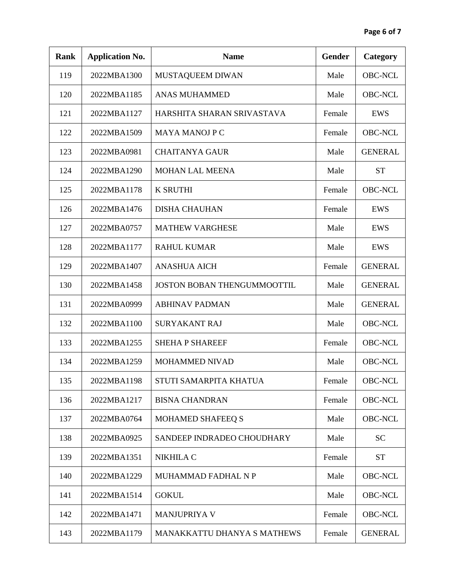| <b>Rank</b> | <b>Application No.</b> | <b>Name</b>                        | <b>Gender</b> | Category       |
|-------------|------------------------|------------------------------------|---------------|----------------|
| 119         | 2022MBA1300            | MUSTAQUEEM DIWAN                   | Male          | <b>OBC-NCL</b> |
| 120         | 2022MBA1185            | <b>ANAS MUHAMMED</b>               | Male          | <b>OBC-NCL</b> |
| 121         | 2022MBA1127            | HARSHITA SHARAN SRIVASTAVA         | Female        | <b>EWS</b>     |
| 122         | 2022MBA1509            | <b>MAYA MANOJ P C</b>              | Female        | <b>OBC-NCL</b> |
| 123         | 2022MBA0981            | <b>CHAITANYA GAUR</b>              | Male          | <b>GENERAL</b> |
| 124         | 2022MBA1290            | <b>MOHAN LAL MEENA</b>             | Male          | <b>ST</b>      |
| 125         | 2022MBA1178            | <b>K SRUTHI</b>                    | Female        | <b>OBC-NCL</b> |
| 126         | 2022MBA1476            | <b>DISHA CHAUHAN</b>               | Female        | EWS            |
| 127         | 2022MBA0757            | <b>MATHEW VARGHESE</b>             | Male          | EWS            |
| 128         | 2022MBA1177            | <b>RAHUL KUMAR</b>                 | Male          | EWS            |
| 129         | 2022MBA1407            | <b>ANASHUA AICH</b>                | Female        | <b>GENERAL</b> |
| 130         | 2022MBA1458            | <b>JOSTON BOBAN THENGUMMOOTTIL</b> | Male          | <b>GENERAL</b> |
| 131         | 2022MBA0999            | <b>ABHINAV PADMAN</b>              | Male          | <b>GENERAL</b> |
| 132         | 2022MBA1100            | <b>SURYAKANT RAJ</b>               | Male          | <b>OBC-NCL</b> |
| 133         | 2022MBA1255            | <b>SHEHA P SHAREEF</b>             | Female        | <b>OBC-NCL</b> |
| 134         | 2022MBA1259            | <b>MOHAMMED NIVAD</b>              | Male          | <b>OBC-NCL</b> |
| 135         | 2022MBA1198            | STUTI SAMARPITA KHATUA             | Female        | <b>OBC-NCL</b> |
| 136         | 2022MBA1217            | <b>BISNA CHANDRAN</b>              | Female        | <b>OBC-NCL</b> |
| 137         | 2022MBA0764            | <b>MOHAMED SHAFEEQ S</b>           | Male          | <b>OBC-NCL</b> |
| 138         | 2022MBA0925            | SANDEEP INDRADEO CHOUDHARY         | Male          | <b>SC</b>      |
| 139         | 2022MBA1351            | NIKHILA C                          | Female        | <b>ST</b>      |
| 140         | 2022MBA1229            | MUHAMMAD FADHAL N P                | Male          | <b>OBC-NCL</b> |
| 141         | 2022MBA1514            | <b>GOKUL</b>                       | Male          | <b>OBC-NCL</b> |
| 142         | 2022MBA1471            | <b>MANJUPRIYA V</b>                | Female        | <b>OBC-NCL</b> |
| 143         | 2022MBA1179            | MANAKKATTU DHANYA S MATHEWS        | Female        | <b>GENERAL</b> |